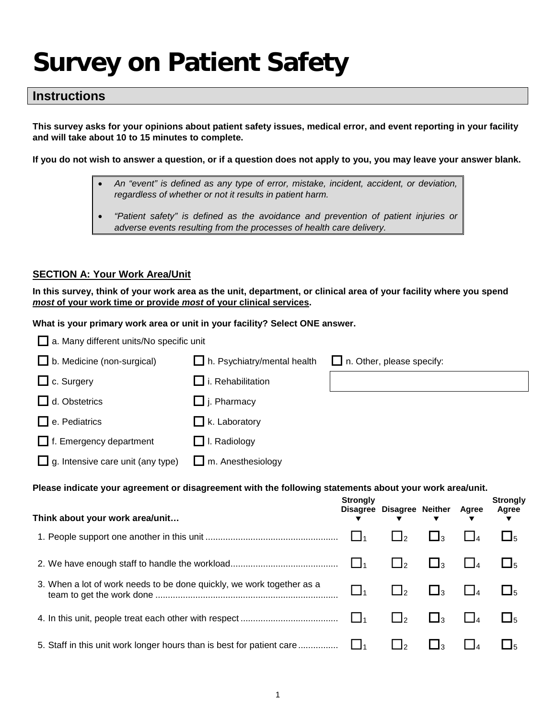# **Survey on Patient Safety**

# **Instructions**

**This survey asks for your opinions about patient safety issues, medical error, and event reporting in your facility and will take about 10 to 15 minutes to complete.** 

**If you do not wish to answer a question, or if a question does not apply to you, you may leave your answer blank.**

- *An "event" is defined as any type of error, mistake, incident, accident, or deviation, regardless of whether or not it results in patient harm.*
- *"Patient safety" is defined as the avoidance and prevention of patient injuries or adverse events resulting from the processes of health care delivery.*

#### **SECTION A: Your Work Area/Unit**

**In this survey, think of your work area as the unit, department, or clinical area of your facility where you spend**  *most* **of your work time or provide** *most* **of your clinical services.** 

**What is your primary work area or unit in your facility? Select ONE answer.** 

| a. Many different units/No specific unit                                                                |                                    |                                  |                           |                     |              |                               |
|---------------------------------------------------------------------------------------------------------|------------------------------------|----------------------------------|---------------------------|---------------------|--------------|-------------------------------|
| b. Medicine (non-surgical)                                                                              | $\Box$ h. Psychiatry/mental health | $\Box$ n. Other, please specify: |                           |                     |              |                               |
| c. Surgery                                                                                              | $\Box$ i. Rehabilitation           |                                  |                           |                     |              |                               |
| d. Obstetrics                                                                                           | $\Box$ j. Pharmacy                 |                                  |                           |                     |              |                               |
| e. Pediatrics                                                                                           | $\Box$ k. Laboratory               |                                  |                           |                     |              |                               |
| $\Box$ f. Emergency department                                                                          | $\Box$ I. Radiology                |                                  |                           |                     |              |                               |
| g. Intensive care unit (any type)                                                                       | m. Anesthesiology                  |                                  |                           |                     |              |                               |
| Please indicate your agreement or disagreement with the following statements about your work area/unit. |                                    |                                  |                           |                     |              |                               |
|                                                                                                         |                                    |                                  |                           |                     |              |                               |
| Think about your work area/unit                                                                         |                                    | <b>Strongly</b>                  | Disagree Disagree Neither |                     | <b>Agree</b> | <b>Strongly</b><br>Agree<br>▼ |
|                                                                                                         |                                    | l l1                             | $\Box$ 2                  | $\bigsqcup$ 3       | $\Box$ 4     | $\square_5$                   |
|                                                                                                         |                                    | $\Box$                           | $\Box$ <sub>2</sub>       | $\Box$ <sub>3</sub> | $\Box$ 4     | $\square_5$                   |
| 3. When a lot of work needs to be done quickly, we work together as a                                   |                                    | $\bigsqcup_1$                    | $\Box_2$                  | $\square_3$         | $\Box$ 4     | $\square_5$                   |
|                                                                                                         |                                    | $\Box_1$                         | $\Box_2$                  | $\square_3$         | $\Box$       | $\square_5$                   |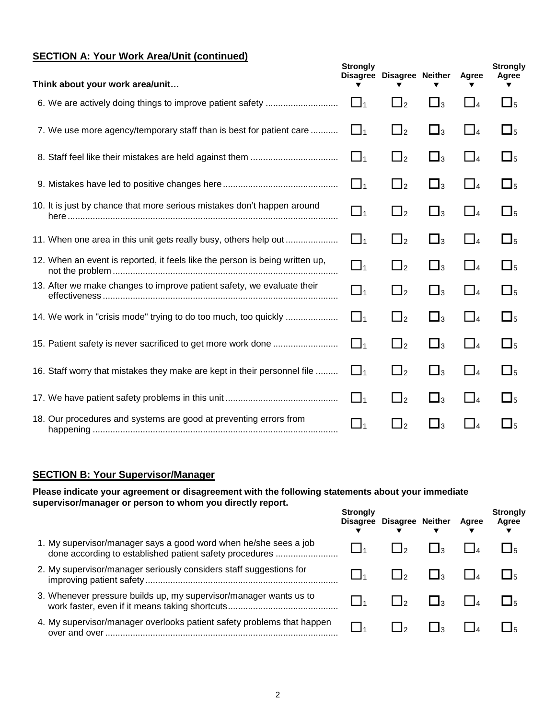# **SECTION A: Your Work Area/Unit (continued)**

| Think about your work area/unit |                                                                              | <b>Strongly</b> | Disagree Disagree Neither |                     | Agree    | <b>Strongly</b><br>Agree |
|---------------------------------|------------------------------------------------------------------------------|-----------------|---------------------------|---------------------|----------|--------------------------|
|                                 |                                                                              | $\Box_1$        | $\Box$ <sub>2</sub>       | $\Box_3$            | $\Box_4$ | $\Box_5$                 |
|                                 | 7. We use more agency/temporary staff than is best for patient care          | $\Box_1$        | $\Box$ <sub>2</sub>       | $\Box$ <sub>3</sub> | $\Box_4$ | $\Box$ <sub>5</sub>      |
|                                 |                                                                              | $\Box_1$        | $\Box$ <sub>2</sub>       | $\Box_3$            | $\Box_4$ | $\Box_5$                 |
|                                 |                                                                              | $\Box_1$        | $\Box$ <sub>2</sub>       | $\Box_3$            | $\Box_4$ | $\Box$ <sub>5</sub>      |
|                                 | 10. It is just by chance that more serious mistakes don't happen around      | $\Box_1$        | $\Box$ <sub>2</sub>       | $\square_3$         | $\Box_4$ | $\Box_5$                 |
|                                 |                                                                              | $\square$       | $\Box$ <sub>2</sub>       | $\Box$ <sub>3</sub> | $\Box_4$ | $\square$ <sub>5</sub>   |
|                                 | 12. When an event is reported, it feels like the person is being written up, | $\Box_1$        | $\Box$ <sub>2</sub>       | $\Box_3$            | $\Box_4$ | $\Box_5$                 |
|                                 | 13. After we make changes to improve patient safety, we evaluate their       | $\Box_1$        | $\Box$ <sub>2</sub>       | $\square_3$         | $\Box_4$ | $\Box_5$                 |
|                                 | 14. We work in "crisis mode" trying to do too much, too quickly              | $\Box_1$        | $\Box$ <sub>2</sub>       | $\Box$ <sub>3</sub> | $\Box_4$ | $\Box$ <sub>5</sub>      |
|                                 | 15. Patient safety is never sacrificed to get more work done                 | $\square$       | $\Box_2$                  | $\square_3$         | $\Box_4$ | $\Box$ <sub>5</sub>      |
|                                 | 16. Staff worry that mistakes they make are kept in their personnel file     | $\square$       | $\Box$ <sub>2</sub>       | $\Box_3$            | $\Box$ 4 | $\Box_5$                 |
|                                 |                                                                              | $\Box$ 1        | $\Box$ <sub>2</sub>       | $\Box_3$            | $\Box_4$ | $\Box_5$                 |
|                                 | 18. Our procedures and systems are good at preventing errors from            | $\Box_1$        | $\Box_2$                  | $\square_3$         | $\Box$ 4 | $\Box_5$                 |

# **SECTION B: Your Supervisor/Manager**

**Please indicate your agreement or disagreement with the following statements about your immediate supervisor/manager or person to whom you directly report.** 

|                                                                                                                             | Stronaly<br><b>Disagree</b> | <b>Disagree Neither</b> | Aaree | <b>Strongly</b><br>Agree |
|-----------------------------------------------------------------------------------------------------------------------------|-----------------------------|-------------------------|-------|--------------------------|
| 1. My supervisor/manager says a good word when he/she sees a job<br>done according to established patient safety procedures |                             |                         |       |                          |
| 2. My supervisor/manager seriously considers staff suggestions for                                                          |                             |                         |       |                          |
| 3. Whenever pressure builds up, my supervisor/manager wants us to                                                           |                             |                         |       |                          |
| 4. My supervisor/manager overlooks patient safety problems that happen                                                      |                             |                         |       |                          |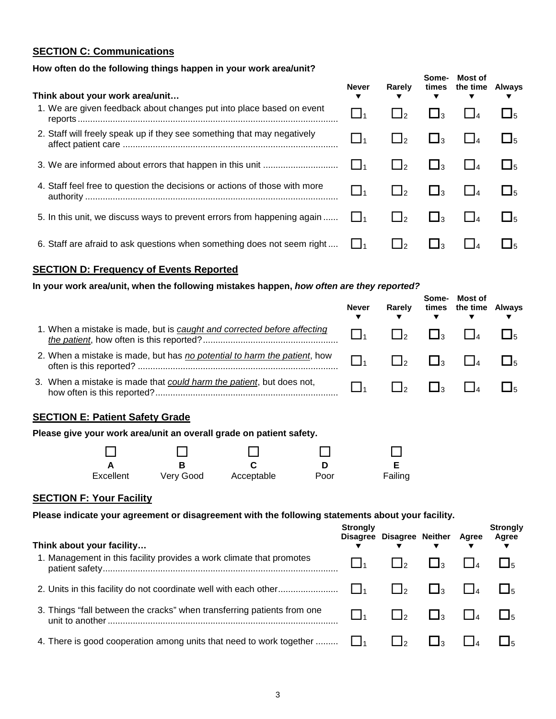# **SECTION C: Communications**

#### **How often do the following things happen in your work area/unit?**

| Think about your work area/unit                                            | Never             | Rarely              | Some-<br>▼        | Most of<br>times the time Always |  |
|----------------------------------------------------------------------------|-------------------|---------------------|-------------------|----------------------------------|--|
| 1. We are given feedback about changes put into place based on event       | $\Box_1$          |                     | Ŀ٦                |                                  |  |
| 2. Staff will freely speak up if they see something that may negatively    |                   |                     | $\blacksquare$ 13 |                                  |  |
|                                                                            | l 11              |                     | $\Box$ 3          |                                  |  |
| 4. Staff feel free to question the decisions or actions of those with more | $\vert$ $\vert_1$ |                     | $\mathbf{1}_3$    |                                  |  |
| 5. In this unit, we discuss ways to prevent errors from happening again    | $\mathsf{L}$      | $\Box$ <sub>2</sub> | $\mathbf{I}_3$    |                                  |  |
| 6. Staff are afraid to ask questions when something does not seem right    |                   |                     |                   |                                  |  |

#### **SECTION D: Frequency of Events Reported**

#### **In your work area/unit, when the following mistakes happen,** *how often are they reported?*

|                                                                          | <b>Never</b> | Rarelv | Some-<br>▼ | Most of<br>times the time Always<br>▼ |  |  |
|--------------------------------------------------------------------------|--------------|--------|------------|---------------------------------------|--|--|
| 1. When a mistake is made, but is caught and corrected before affecting  |              |        |            |                                       |  |  |
| 2. When a mistake is made, but has no potential to harm the patient, how |              |        |            |                                       |  |  |
| 3. When a mistake is made that could harm the patient, but does not,     |              |        |            |                                       |  |  |
| <b>SECTION E: Patient Safety Grade</b>                                   |              |        |            |                                       |  |  |

| <u>ULUITURE. Lautin Uditty Urade</u>                                |  |
|---------------------------------------------------------------------|--|
| Please give your work area/unit an overall grade on patient safety. |  |

| $\Box$    | П         |            |      |         |
|-----------|-----------|------------|------|---------|
|           |           |            |      |         |
| Excellent | Very Good | Acceptable | Poor | Failing |

# **SECTION F: Your Facility**

**Please indicate your agreement or disagreement with the following statements about your facility.** 

| Think about your facility                                               | <b>Stronaly</b> | Disagree Disagree Neither Agree |              | <b>Strongly</b><br>Agree |
|-------------------------------------------------------------------------|-----------------|---------------------------------|--------------|--------------------------|
| 1. Management in this facility provides a work climate that promotes    |                 | l lo                            | $\Box$ 3     |                          |
|                                                                         | $\mathbf{I}$    | $\mathsf{L}$                    | $\mathsf{L}$ |                          |
| 3. Things "fall between the cracks" when transferring patients from one |                 | $\mathsf{L}$                    | l la         |                          |
| 4. There is good cooperation among units that need to work together     |                 |                                 |              |                          |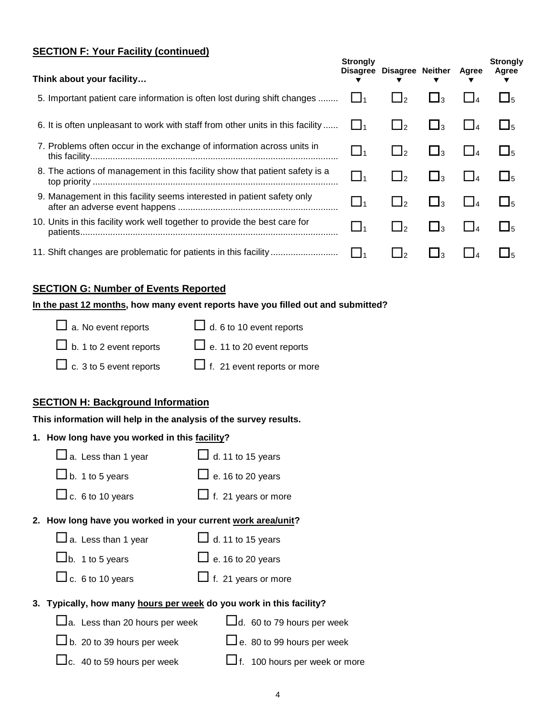#### **SECTION F: Your Facility (continued)**

| Think about your facility                                                      | <b>Strongly</b> | Disagree Disagree Neither |                        | Agree | <b>Strongly</b><br>Agree |
|--------------------------------------------------------------------------------|-----------------|---------------------------|------------------------|-------|--------------------------|
| 5. Important patient care information is often lost during shift changes       |                 | $\frac{1}{2}$             | <u>— 1з</u>            |       | $L_{5}$                  |
| 6. It is often unpleasant to work with staff from other units in this facility | $\Box$ 1        | $\mathbf{1}_{2}$          | $\mathbf{I}_3$         |       | $\Box$ 5                 |
| 7. Problems often occur in the exchange of information across units in         | $\_$ 1          | $\Box$ 2                  | $\Box$ 3               |       | $\Box$ <sub>5</sub>      |
| 8. The actions of management in this facility show that patient safety is a    | $\_1_1$         | $\cdot$ $\mathbf{I}_2$    | $\mathbf{1}_{3}$       |       | $\Box$ <sub>5</sub>      |
| 9. Management in this facility seems interested in patient safety only         | $\Box$ 1        | $\mathbf{1}$ $\mathbf{1}$ | $\mathbf{L}$           |       | $\Box$ <sub>5</sub>      |
| 10. Units in this facility work well together to provide the best care for     | $\_1_1$         | $\frac{1}{2}$             | $\cdot$ $\mathbf{I}_3$ |       | $\Box$ 5                 |
|                                                                                |                 | ٠I                        |                        |       | $\overline{15}$          |

#### **SECTION G: Number of Events Reported**

#### **In the past 12 months, how many event reports have you filled out and submitted?**

| $\Box$ a. No event reports     | $\Box$ d. 6 to 10 event reports    |
|--------------------------------|------------------------------------|
| $\Box$ b. 1 to 2 event reports | $\Box$ e. 11 to 20 event reports   |
| $\Box$ c. 3 to 5 event reports | $\Box$ f. 21 event reports or more |

# **SECTION H: Background Information**

# **This information will help in the analysis of the survey results.**

# **1. How long have you worked in this facility?**

| $\Box$ a. Less than 1 year            | $\Box$ d. 11 to 15 years                                            |
|---------------------------------------|---------------------------------------------------------------------|
| $\Box$ b. 1 to 5 years                | $\Box$ e. 16 to 20 years                                            |
| $\Box$ c. 6 to 10 years               | $\Box$ f. 21 years or more                                          |
|                                       | 2. How long have you worked in your current work area/unit?         |
| $\Box$ a. Less than 1 year            | $\Box$ d. 11 to 15 years                                            |
| $Lb$ . 1 to 5 years                   | $\Box$ e. 16 to 20 years                                            |
| $\Box$ c. 6 to 10 years               | $\Box$ f. 21 years or more                                          |
|                                       | 3. Typically, how many hours per week do you work in this facility? |
| $\Box$ a. Less than 20 hours per week | $\Box$ d. 60 to 79 hours per week                                   |
| $\Box$ b. 20 to 39 hours per week     | $\Box$ e. 80 to 99 hours per week                                   |
| $\Box$ c. 40 to 59 hours per week     | If. 100 hours per week or more                                      |